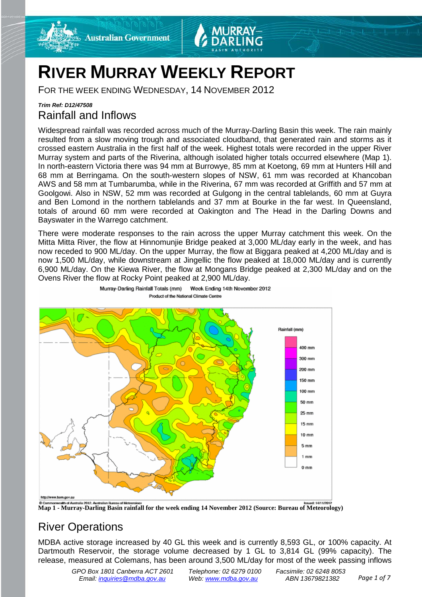



# **RIVER MURRAY WEEKLY REPORT**

FOR THE WEEK ENDING WEDNESDAY, 14 NOVEMBER 2012

## *Trim Ref: D12/47508* Rainfall and Inflows

Widespread rainfall was recorded across much of the Murray-Darling Basin this week. The rain mainly resulted from a slow moving trough and associated cloudband, that generated rain and storms as it crossed eastern Australia in the first half of the week. Highest totals were recorded in the upper River Murray system and parts of the Riverina, although isolated higher totals occurred elsewhere (Map 1). In north-eastern Victoria there was 94 mm at Burrowye, 85 mm at Koetong, 69 mm at Hunters Hill and 68 mm at Berringama. On the south-western slopes of NSW, 61 mm was recorded at Khancoban AWS and 58 mm at Tumbarumba, while in the Riverina, 67 mm was recorded at Griffith and 57 mm at Goolgowi. Also in NSW, 52 mm was recorded at Gulgong in the central tablelands, 60 mm at Guyra and Ben Lomond in the northern tablelands and 37 mm at Bourke in the far west. In Queensland, totals of around 60 mm were recorded at Oakington and The Head in the Darling Downs and Bayswater in the Warrego catchment.

There were moderate responses to the rain across the upper Murray catchment this week. On the Mitta Mitta River, the flow at Hinnomunjie Bridge peaked at 3,000 ML/day early in the week, and has now receded to 900 ML/day. On the upper Murray, the flow at Biggara peaked at 4,200 ML/day and is now 1,500 ML/day, while downstream at Jingellic the flow peaked at 18,000 ML/day and is currently 6,900 ML/day. On the Kiewa River, the flow at Mongans Bridge peaked at 2,300 ML/day and on the Ovens River the flow at Rocky Point peaked at 2,900 ML/day.



Murray-Darling Rainfall Totals (mm) Week Ending 14th November 2012 Product of the National Climate Centre



## River Operations

MDBA active storage increased by 40 GL this week and is currently 8,593 GL, or 100% capacity. At Dartmouth Reservoir, the storage volume decreased by 1 GL to 3,814 GL (99% capacity). The release, measured at Colemans, has been around 3,500 ML/day for most of the week passing inflows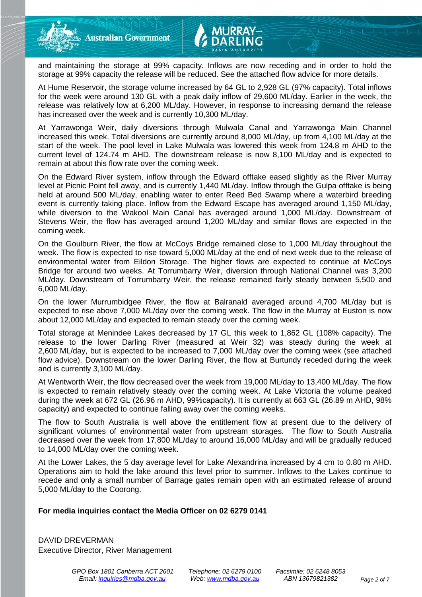and maintaining the storage at 99% capacity. Inflows are now receding and in order to hold the storage at 99% capacity the release will be reduced. See the attached flow advice for more details.

At Hume Reservoir, the storage volume increased by 64 GL to 2,928 GL (97% capacity). Total inflows for the week were around 130 GL with a peak daily inflow of 29,600 ML/day. Earlier in the week, the release was relatively low at 6,200 ML/day. However, in response to increasing demand the release has increased over the week and is currently 10,300 ML/day.

At Yarrawonga Weir, daily diversions through Mulwala Canal and Yarrawonga Main Channel increased this week. Total diversions are currently around 8,000 ML/day, up from 4,100 ML/day at the start of the week. The pool level in Lake Mulwala was lowered this week from 124.8 m AHD to the current level of 124.74 m AHD. The downstream release is now 8,100 ML/day and is expected to remain at about this flow rate over the coming week.

On the Edward River system, inflow through the Edward offtake eased slightly as the River Murray level at Picnic Point fell away, and is currently 1,440 ML/day. Inflow through the Gulpa offtake is being held at around 500 ML/day, enabling water to enter Reed Bed Swamp where a waterbird breeding event is currently taking place. Inflow from the Edward Escape has averaged around 1,150 ML/day, while diversion to the Wakool Main Canal has averaged around 1,000 ML/day. Downstream of Stevens Weir, the flow has averaged around 1,200 ML/day and similar flows are expected in the coming week.

On the Goulburn River, the flow at McCoys Bridge remained close to 1,000 ML/day throughout the week. The flow is expected to rise toward 5,000 ML/day at the end of next week due to the release of environmental water from Eildon Storage. The higher flows are expected to continue at McCoys Bridge for around two weeks. At Torrumbarry Weir, diversion through National Channel was 3,200 ML/day. Downstream of Torrumbarry Weir, the release remained fairly steady between 5,500 and 6,000 ML/day.

On the lower Murrumbidgee River, the flow at Balranald averaged around 4,700 ML/day but is expected to rise above 7,000 ML/day over the coming week. The flow in the Murray at Euston is now about 12,000 ML/day and expected to remain steady over the coming week.

Total storage at Menindee Lakes decreased by 17 GL this week to 1,862 GL (108% capacity). The release to the lower Darling River (measured at Weir 32) was steady during the week at 2,600 ML/day, but is expected to be increased to 7,000 ML/day over the coming week (see attached flow advice). Downstream on the lower Darling River, the flow at Burtundy receded during the week and is currently 3,100 ML/day.

At Wentworth Weir, the flow decreased over the week from 19,000 ML/day to 13,400 ML/day. The flow is expected to remain relatively steady over the coming week. At Lake Victoria the volume peaked during the week at 672 GL (26.96 m AHD, 99%capacity). It is currently at 663 GL (26.89 m AHD, 98% capacity) and expected to continue falling away over the coming weeks.

The flow to South Australia is well above the entitlement flow at present due to the delivery of significant volumes of environmental water from upstream storages. The flow to South Australia decreased over the week from 17,800 ML/day to around 16,000 ML/day and will be gradually reduced to 14,000 ML/day over the coming week.

At the Lower Lakes, the 5 day average level for Lake Alexandrina increased by 4 cm to 0.80 m AHD. Operations aim to hold the lake around this level prior to summer. Inflows to the Lakes continue to recede and only a small number of Barrage gates remain open with an estimated release of around 5,000 ML/day to the Coorong.

#### **For media inquiries contact the Media Officer on 02 6279 0141**

DAVID DREVERMAN Executive Director, River Management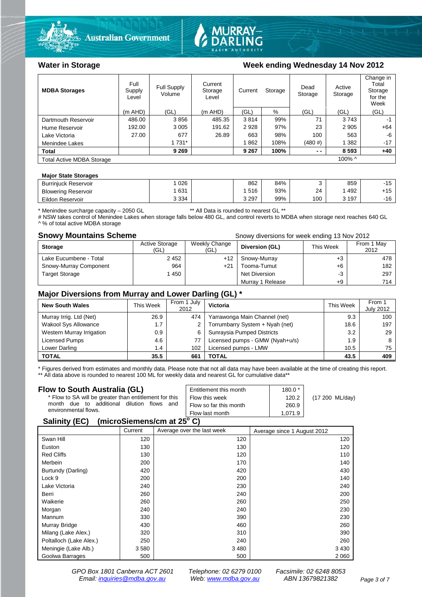



#### **MDBA Storages** Full Supply Level Full Supply Volume Current **Storage** Level Current Storage Dead Storage Active Storage Change in Total Storage for the Week (m AHD) (GL) (m AHD) (GL) % (GL) (GL) (GL) Dartmouth Reservoir  $\begin{array}{|c|c|c|c|c|c|c|c|}\n\hline\n\text{Hume} & & & & 486.00 & 3856 & 485.35 & 3814 & 99\% & 71 & 3743 & -1 \\
\text{Hume Reservoir} & & & & 192.00 & 3005 & 191.62 & 2928 & 97\% & 23 & 2905 & +64\n\end{array}$ Hume Reservoir | 192.00 | 3 005 | 191.62 | 2 928 | 97% | 23 | 2 905 | +64 Lake Victoria | 27.00 | 677 | 26.89 | 663 | 98% | 100 | 563 | -6 Menindee Lakes 1 731 1 731 1 862 | 108% (480 #) 1 382 | 1731 **Total 9 269 9 267 100% - - 8 593 +40** Total Active MDBA Storage 100% ^ 100% ^

#### **Major State Storages**

| <b>Burrinjuck Reservoir</b> | 026     | 862     | 84% |     | 859   | $-15$<br>ιJ  |
|-----------------------------|---------|---------|-----|-----|-------|--------------|
| <b>Blowering Reservoir</b>  | 631     | 516     | 93% | 24  | 492   | 1 1 E<br>−ιບ |
| Eildon Reservoir            | 3 3 3 4 | 3 2 9 7 | 99% | 100 | , 197 | $-16$<br>טו  |

\* Menindee surcharge capacity – 2050 GL \*\* All Data is rounded to nearest GL \*\*

# NSW takes control of Menindee Lakes when storage falls below 480 GL, and control reverts to MDBA when storage next reaches 640 GL ^ % of total active MDBA storage

**Snowy Mountains Scheme Snow diversions for week ending 13 Nov 2012 Snowy diversions for week ending 13 Nov 2012** 

| <b>Storage</b>         | Active Storage<br>(GL) | Weekly Change<br>(GL) | Diversion (GL)       | This Week | From 1 May<br>2012 |
|------------------------|------------------------|-----------------------|----------------------|-----------|--------------------|
| Lake Eucumbene - Total | 2452                   | $+12$                 | Snowy-Murray         | +3        | 478                |
| Snowy-Murray Component | 964                    | $+21$                 | Tooma-Tumut          | $+6$      | 182                |
| <b>Target Storage</b>  | 1450                   |                       | <b>Net Diversion</b> | -3        | 297                |
|                        |                        |                       | Murray 1 Release     | $+9$      | 714                |

### **Major Diversions from Murray and Lower Darling (GL) \***

| <b>New South Wales</b>    | This Week | From 1 July<br>2012 | Victoria                        | This Week | From 1<br><b>July 2012</b> |
|---------------------------|-----------|---------------------|---------------------------------|-----------|----------------------------|
| Murray Irrig. Ltd (Net)   | 26.9      | 474                 | Yarrawonga Main Channel (net)   | 9.3       | 100                        |
| Wakool Sys Allowance      | 1.7       | 2                   | Torrumbarry System + Nyah (net) | 18.6      | 197                        |
| Western Murray Irrigation | 0.9       | 6                   | Sunraysia Pumped Districts      | 3.2       | 29                         |
| Licensed Pumps            | 4.6       |                     | Licensed pumps - GMW (Nyah+u/s) | 1.9       |                            |
| Lower Darling             | 1.4       | 102                 | Licensed pumps - LMW            | 10.5      | 75                         |
| <b>TOTAL</b>              | 35.5      | 661                 | TOTAL                           | 43.5      | 409                        |

\* Figures derived from estimates and monthly data. Please note that not all data may have been available at the time of creating this report.

\*\* All data above is rounded to nearest 100 ML for weekly data and nearest GL for cumulative data\*\*

| Flow to South Australia (GL)                                                                               | Entitlement this month                   | $180.0*$       |                 |  |
|------------------------------------------------------------------------------------------------------------|------------------------------------------|----------------|-----------------|--|
| * Flow to SA will be greater than entitlement for this<br>due to additional dilution<br>flows and<br>month | Flow this week<br>Flow so far this month | 120.2<br>260.9 | (17 200 ML/day) |  |
| environmental flows.                                                                                       | Flow last month                          | 1.071.9        |                 |  |
| A !! ! <i>!</i> /EA\                                                                                       |                                          |                |                 |  |

#### **Salinity (EC) (microSiemens/cm at 25o C)**

|                         | Current | Average over the last week | Average since 1 August 2012 |
|-------------------------|---------|----------------------------|-----------------------------|
| Swan Hill               | 120     | 120                        | 120                         |
| Euston                  | 130     | 130                        | 120                         |
| <b>Red Cliffs</b>       | 130     | 120                        | 110                         |
| Merbein                 | 200     | 170                        | 140                         |
| Burtundy (Darling)      | 420     | 420                        | 430                         |
| Lock 9                  | 200     | 200                        | 140                         |
| Lake Victoria           | 240     | 230                        | 240                         |
| Berri                   | 260     | 240                        | 200                         |
| Waikerie                | 260     | 260                        | 250                         |
| Morgan                  | 240     | 240                        | 230                         |
| Mannum                  | 330     | 390                        | 230                         |
| Murray Bridge           | 430     | 460                        | 260                         |
| Milang (Lake Alex.)     | 320     | 310                        | 390                         |
| Poltalloch (Lake Alex.) | 250     | 240                        | 260                         |
| Meningie (Lake Alb.)    | 3580    | 3 4 8 0                    | 3 4 3 0                     |
| Goolwa Barrages         | 500     | 500                        | 2 0 6 0                     |

*GPO Box 1801 Canberra ACT 2601 Telephone: 02 6279 0100 Facsimile: 02 6248 8053 Email: [inquiries@mdba.gov.au](mailto:inquiries@mdba.gov.au) Web: [www.mdba.gov.au](http://www.mdba.gov.au/) ABN 13679821382 Page 3 of 7*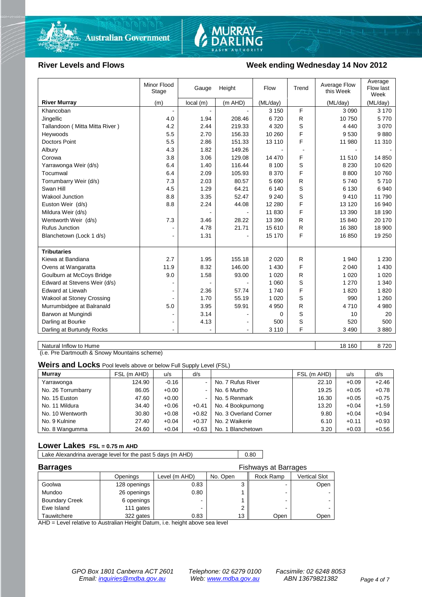



#### **River Levels and Flows Week ending Wednesday 14 Nov 2012**

|                                  | Minor Flood<br>Stage | Gauge    | Height  | Flow     | Trend        | Average Flow<br>this Week | Average<br>Flow last<br>Week |
|----------------------------------|----------------------|----------|---------|----------|--------------|---------------------------|------------------------------|
| <b>River Murray</b>              | (m)                  | local(m) | (m AHD) | (ML/day) |              | (ML/day)                  | (ML/day)                     |
| Khancoban                        |                      |          |         | 3 1 5 0  | F            | 3 0 9 0                   | 3 1 7 0                      |
| Jingellic                        | 4.0                  | 1.94     | 208.46  | 6720     | R            | 10750                     | 5770                         |
| Tallandoon (Mitta Mitta River)   | 4.2                  | 2.44     | 219.33  | 4 3 2 0  | S            | 4 4 4 0                   | 3 0 7 0                      |
| Heywoods                         | 5.5                  | 2.70     | 156.33  | 10 260   | F            | 9530                      | 9880                         |
| <b>Doctors Point</b>             | 5.5                  | 2.86     | 151.33  | 13 110   | F            | 11 980                    | 11 310                       |
| Albury                           | 4.3                  | 1.82     | 149.26  |          |              |                           |                              |
| Corowa                           | 3.8                  | 3.06     | 129.08  | 14 470   | F            | 11 510                    | 14 850                       |
| Yarrawonga Weir (d/s)            | 6.4                  | 1.40     | 116.44  | 8 100    | S            | 8 2 3 0                   | 10 6 20                      |
| Tocumwal                         | 6.4                  | 2.09     | 105.93  | 8 3 7 0  | F            | 8800                      | 10 760                       |
| Torrumbarry Weir (d/s)           | 7.3                  | 2.03     | 80.57   | 5 6 9 0  | R            | 5740                      | 5710                         |
| Swan Hill                        | 4.5                  | 1.29     | 64.21   | 6 140    | S            | 6 1 3 0                   | 6940                         |
| <b>Wakool Junction</b>           | 8.8                  | 3.35     | 52.47   | 9 2 4 0  | S            | 9410                      | 11 790                       |
| Euston Weir (d/s)                | 8.8                  | 2.24     | 44.08   | 12 2 8 0 | E            | 13 1 20                   | 16 940                       |
| Mildura Weir (d/s)               |                      |          |         | 11 830   | F            | 13 390                    | 18 190                       |
| Wentworth Weir (d/s)             | 7.3                  | 3.46     | 28.22   | 13 390   | $\mathsf{R}$ | 15 840                    | 20 170                       |
| <b>Rufus Junction</b>            |                      | 4.78     | 21.71   | 15 610   | R            | 16 380                    | 18 900                       |
| Blanchetown (Lock 1 d/s)         | $\blacksquare$       | 1.31     |         | 15 170   | E            | 16850                     | 19 250                       |
|                                  |                      |          |         |          |              |                           |                              |
| <b>Tributaries</b>               |                      |          |         |          |              |                           |                              |
| Kiewa at Bandiana                | 2.7                  | 1.95     | 155.18  | 2 0 2 0  | R            | 1 940                     | 1 2 3 0                      |
| Ovens at Wangaratta              | 11.9                 | 8.32     | 146.00  | 1 4 3 0  | F            | 2 0 4 0                   | 1 4 3 0                      |
| Goulburn at McCoys Bridge        | 9.0                  | 1.58     | 93.00   | 1 0 2 0  | R            | 1 0 2 0                   | 1 0 2 0                      |
| Edward at Stevens Weir (d/s)     |                      |          |         | 1 0 6 0  | S            | 1 2 7 0                   | 1 340                        |
| <b>Edward at Liewah</b>          |                      | 2.36     | 57.74   | 1740     | F            | 1820                      | 1820                         |
| <b>Wakool at Stoney Crossing</b> |                      | 1.70     | 55.19   | 1 0 2 0  | S            | 990                       | 1 2 6 0                      |
| Murrumbidgee at Balranald        | 5.0                  | 3.95     | 59.91   | 4 9 5 0  | R            | 4710                      | 4 980                        |
| Barwon at Mungindi               |                      | 3.14     |         | 0        | S            | 10                        | 20                           |
| Darling at Bourke                | $\blacksquare$       | 4.13     |         | 500      | S            | 520                       | 500                          |
| Darling at Burtundy Rocks        |                      |          |         | 3 1 1 0  | F            | 3 4 9 0                   | 3880                         |

Natural Inflow to Hume 18 160 | 18 160 | 18 160 | 18 160 | 18 160 | 18 160 | 18 160 | 18 1720

(i.e. Pre Dartmouth & Snowy Mountains scheme)

**Weirs and Locks** Pool levels above or below Full Supply Level (FSL)

| Murray             | FSL (m AHD) | u/s     | d/s            |                       | FSL (m AHD) | u/s     | d/s     |
|--------------------|-------------|---------|----------------|-----------------------|-------------|---------|---------|
| Yarrawonga         | 124.90      | $-0.16$ |                | No. 7 Rufus River     | 22.10       | $+0.09$ | $+2.46$ |
| No. 26 Torrumbarry | 86.05       | $+0.00$ | $\sim$         | No. 6 Murtho          | 19.25       | $+0.05$ | $+0.78$ |
| No. 15 Euston      | 47.60       | $+0.00$ | $\blacksquare$ | No. 5 Renmark         | 16.30       | $+0.05$ | $+0.75$ |
| No. 11 Mildura     | 34.40       | $+0.06$ | $+0.41$        | No. 4 Bookpurnong     | 13.20       | $+0.04$ | $+1.59$ |
| No. 10 Wentworth   | 30.80       | $+0.08$ | $+0.82$        | No. 3 Overland Corner | 9.80        | $+0.04$ | $+0.94$ |
| No. 9 Kulnine      | 27.40       | $+0.04$ | $+0.37$        | No. 2 Waikerie        | 6.10        | $+0.11$ | $+0.93$ |
| No. 8 Wangumma     | 24.60       | $+0.04$ | $+0.63$        | No. 1 Blanchetown     | 3.20        | $+0.03$ | $+0.56$ |

#### **Lower Lakes FSL = 0.75 m AHD**

Lake Alexandrina average level for the past 5 days (m AHD) 0.80

| <b>Barrages</b>       | <b>Fishways at Barrages</b> |               |          |           |                      |  |
|-----------------------|-----------------------------|---------------|----------|-----------|----------------------|--|
|                       | Openings                    | Level (m AHD) | No. Open | Rock Ramp | <b>Vertical Slot</b> |  |
| Goolwa                | 128 openings                | 0.83          |          |           | Open                 |  |
| Mundoo                | 26 openings                 | 0.80          |          | -         |                      |  |
| <b>Boundary Creek</b> | 6 openings                  |               |          | -         |                      |  |
| Ewe Island            | 111 gates                   |               |          |           |                      |  |
| Tauwitchere           | 322 gates                   | 0.83          | 13       | Open      | Open                 |  |

AHD = Level relative to Australian Height Datum, i.e. height above sea level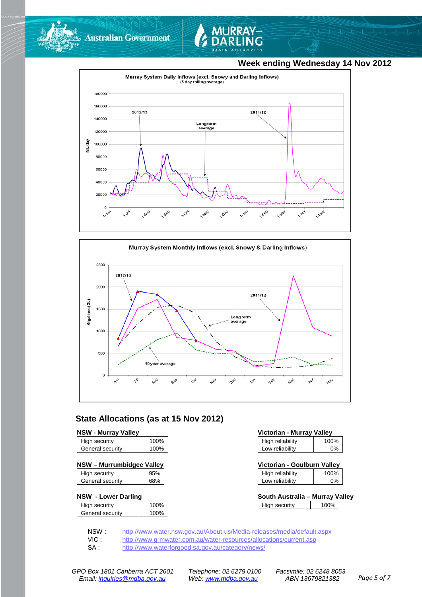



### **Week ending Wednesday 14 Nov 2012**





### **State Allocations (as at 15 Nov 2012)**

| <b>NSW - Murray Valley</b> |  |
|----------------------------|--|
|----------------------------|--|

| High security    | 100% |
|------------------|------|
| General security | 100% |
|                  |      |

| High security    | 95% |
|------------------|-----|
| General security | 68% |

#### **NSW - Lower Darling**

| High security    | 100% |
|------------------|------|
|                  |      |
| General security | 100% |
|                  |      |

| <b>NSW - Murray Valley</b> |      | Victorian - Murray Valley |                  |       |
|----------------------------|------|---------------------------|------------------|-------|
| High security              | 100% |                           | High reliability | 100%  |
| General security           | 100% |                           | Low reliability  | $0\%$ |

| NSW – Murrumbidgee Valley |     | Victorian - Goulburn Valley |      |
|---------------------------|-----|-----------------------------|------|
| High security             | 95% | High reliability            | 100% |

| Low reliability | 9% |  |  |
|-----------------|----|--|--|
|                 |    |  |  |

| South Australia – Murray Valley |      |  |
|---------------------------------|------|--|
| High security                   | 100% |  |

NSW : <http://www.water.nsw.gov.au/About-us/Media-releases/media/default.aspx><br>VIC : http://www.g-mwater.com.au/water-resources/allocations/current.asp

VIC : <http://www.g-mwater.com.au/water-resources/allocations/current.asp><br>SA : http://www.waterforgood.sa.gov.au/category/news/

<http://www.waterforgood.sa.gov.au/category/news/>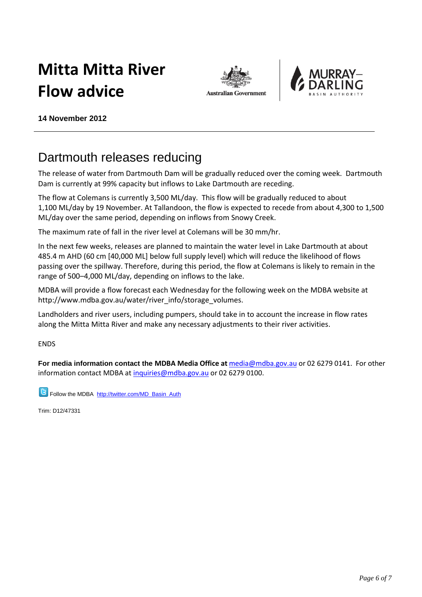# **Mitta Mitta River Flow advice**





**14 November 2012**

## Dartmouth releases reducing

The release of water from Dartmouth Dam will be gradually reduced over the coming week. Dartmouth Dam is currently at 99% capacity but inflows to Lake Dartmouth are receding.

The flow at Colemans is currently 3,500 ML/day. This flow will be gradually reduced to about 1,100 ML/day by 19 November. At Tallandoon, the flow is expected to recede from about 4,300 to 1,500 ML/day over the same period, depending on inflows from Snowy Creek.

The maximum rate of fall in the river level at Colemans will be 30 mm/hr.

In the next few weeks, releases are planned to maintain the water level in Lake Dartmouth at about 485.4 m AHD (60 cm [40,000 ML] below full supply level) which will reduce the likelihood of flows passing over the spillway. Therefore, during this period, the flow at Colemans is likely to remain in the range of 500–4,000 ML/day, depending on inflows to the lake.

MDBA will provide a flow forecast each Wednesday for the following week on the MDBA website at http://www.mdba.gov.au/water/river\_info/storage\_volumes.

Landholders and river users, including pumpers, should take in to account the increase in flow rates along the Mitta Mitta River and make any necessary adjustments to their river activities.

ENDS

**For media information contact the MDBA Media Office at** [media@mdba.gov.au](mailto:media@mdba.gov.au) or 02 6279 0141. For other information contact MDBA at [inquiries@mdba.gov.au](mailto:inquiries@mdba.gov.au) or 02 6279 0100.

**B** Follow the MDBA [http://twitter.com/MD\\_Basin\\_Auth](http://twitter.com/MD_Basin_Auth)

Trim: D12/47331